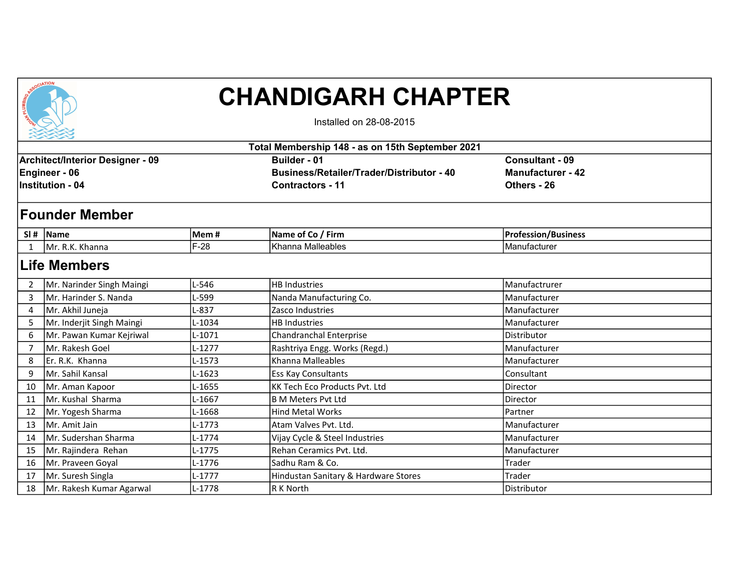

## CHANDIGARH CHAPTER

Installed on 28-08-2015

|                                                                                     | ・シンシン<br>Total Membership 148 - as on 15th September 2021 |          |                                                                                             |                                                            |  |  |  |
|-------------------------------------------------------------------------------------|-----------------------------------------------------------|----------|---------------------------------------------------------------------------------------------|------------------------------------------------------------|--|--|--|
| <b>Architect/Interior Designer - 09</b><br>Engineer - 06<br><b>Institution - 04</b> |                                                           |          | Builder - 01<br><b>Business/Retailer/Trader/Distributor - 40</b><br><b>Contractors - 11</b> | <b>Consultant - 09</b><br>Manufacturer - 42<br>Others - 26 |  |  |  |
|                                                                                     | <b>Founder Member</b>                                     |          |                                                                                             |                                                            |  |  |  |
|                                                                                     | $SI#$ Name                                                | Mem#     | Name of Co / Firm                                                                           | <b>Profession/Business</b>                                 |  |  |  |
|                                                                                     | Mr. R.K. Khanna                                           | $F-28$   | Khanna Malleables                                                                           | Manufacturer                                               |  |  |  |
|                                                                                     | <b>Life Members</b>                                       |          |                                                                                             |                                                            |  |  |  |
| 2                                                                                   | Mr. Narinder Singh Maingi                                 | L-546    | <b>HB Industries</b>                                                                        | Manufactrurer                                              |  |  |  |
| 3                                                                                   | Mr. Harinder S. Nanda                                     | L-599    | Nanda Manufacturing Co.                                                                     | Manufacturer                                               |  |  |  |
| 4                                                                                   | Mr. Akhil Juneja                                          | $L-837$  | Zasco Industries                                                                            | Manufacturer                                               |  |  |  |
| -5                                                                                  | Mr. Inderjit Singh Maingi                                 | L-1034   | <b>HB Industries</b>                                                                        | Manufacturer                                               |  |  |  |
| 6                                                                                   | Mr. Pawan Kumar Kejriwal                                  | $L-1071$ | Chandranchal Enterprise                                                                     | Distributor                                                |  |  |  |
| 7                                                                                   | Mr. Rakesh Goel                                           | $L-1277$ | Rashtriya Engg. Works (Regd.)                                                               | Manufacturer                                               |  |  |  |
| 8                                                                                   | lEr. R.K. Khanna                                          | L-1573   | Khanna Malleables                                                                           | Manufacturer                                               |  |  |  |
| 9                                                                                   | Mr. Sahil Kansal                                          | L-1623   | <b>Ess Kay Consultants</b>                                                                  | Consultant                                                 |  |  |  |
| 10                                                                                  | Mr. Aman Kapoor                                           | L-1655   | <b>KK Tech Eco Products Pvt. Ltd</b>                                                        | Director                                                   |  |  |  |
| 11                                                                                  | lMr. Kushal Sharma                                        | L-1667   | lB M Meters Pvt Ltd                                                                         | Director                                                   |  |  |  |
| 12                                                                                  | Mr. Yogesh Sharma                                         | L-1668   | <b>Hind Metal Works</b>                                                                     | Partner                                                    |  |  |  |
| 13                                                                                  | Mr. Amit Jain                                             | $L-1773$ | Atam Valves Pvt. Ltd.                                                                       | Manufacturer                                               |  |  |  |
| 14                                                                                  | Mr. Sudershan Sharma                                      | $L-1774$ | Vijay Cycle & Steel Industries                                                              | Manufacturer                                               |  |  |  |
| 15                                                                                  | Mr. Rajindera Rehan                                       | $L-1775$ | Rehan Ceramics Pvt. Ltd.                                                                    | Manufacturer                                               |  |  |  |
| 16                                                                                  | Mr. Praveen Goyal                                         | L-1776   | Sadhu Ram & Co.                                                                             | <b>Trader</b>                                              |  |  |  |
| 17                                                                                  | Mr. Suresh Singla                                         | L-1777   | Hindustan Sanitary & Hardware Stores                                                        | Trader                                                     |  |  |  |
| 18                                                                                  | Mr. Rakesh Kumar Agarwal                                  | L-1778   | R K North                                                                                   | Distributor                                                |  |  |  |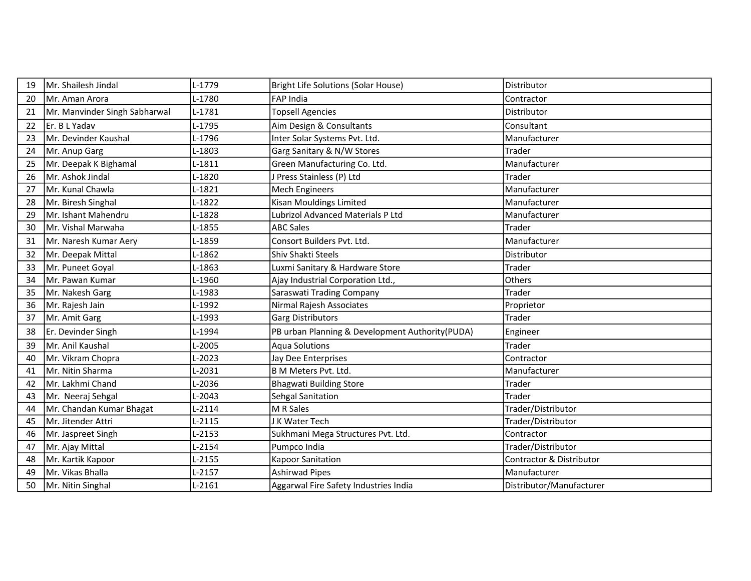| 19 | Mr. Shailesh Jindal           | L-1779   | <b>Bright Life Solutions (Solar House)</b>       | Distributor              |
|----|-------------------------------|----------|--------------------------------------------------|--------------------------|
| 20 | IMr. Aman Arora               | L-1780   | <b>FAP India</b>                                 | Contractor               |
| 21 | Mr. Manvinder Singh Sabharwal | L-1781   | <b>Topsell Agencies</b>                          | Distributor              |
| 22 | Er. B L Yadav                 | L-1795   | Aim Design & Consultants                         | Consultant               |
| 23 | Mr. Devinder Kaushal          | L-1796   | Inter Solar Systems Pvt. Ltd.                    | Manufacturer             |
| 24 | Mr. Anup Garg                 | L-1803   | Garg Sanitary & N/W Stores                       | Trader                   |
| 25 | Mr. Deepak K Bighamal         | L-1811   | Green Manufacturing Co. Ltd.                     | Manufacturer             |
| 26 | Mr. Ashok Jindal              | L-1820   | J Press Stainless (P) Ltd                        | Trader                   |
| 27 | Mr. Kunal Chawla              | L-1821   | <b>Mech Engineers</b>                            | Manufacturer             |
| 28 | Mr. Biresh Singhal            | $L-1822$ | Kisan Mouldings Limited                          | Manufacturer             |
| 29 | Mr. Ishant Mahendru           | L-1828   | Lubrizol Advanced Materials P Ltd                | Manufacturer             |
| 30 | lMr. Vishal Marwaha           | L-1855   | <b>ABC Sales</b>                                 | Trader                   |
| 31 | Mr. Naresh Kumar Aery         | L-1859   | Consort Builders Pvt. Ltd.                       | Manufacturer             |
| 32 | Mr. Deepak Mittal             | L-1862   | Shiv Shakti Steels                               | Distributor              |
| 33 | Mr. Puneet Goyal              | L-1863   | Luxmi Sanitary & Hardware Store                  | Trader                   |
| 34 | Mr. Pawan Kumar               | L-1960   | Ajay Industrial Corporation Ltd.,                | Others                   |
| 35 | Mr. Nakesh Garg               | L-1983   | Saraswati Trading Company                        | Trader                   |
| 36 | Mr. Rajesh Jain               | L-1992   | Nirmal Rajesh Associates                         | Proprietor               |
| 37 | Mr. Amit Garg                 | L-1993   | Garg Distributors                                | Trader                   |
| 38 | Er. Devinder Singh            | L-1994   | PB urban Planning & Development Authority (PUDA) | Engineer                 |
| 39 | Mr. Anil Kaushal              | L-2005   | Aqua Solutions                                   | <b>Trader</b>            |
| 40 | Mr. Vikram Chopra             | $-2023$  | Jay Dee Enterprises                              | Contractor               |
| 41 | Mr. Nitin Sharma              | L-2031   | B M Meters Pvt. Ltd.                             | Manufacturer             |
| 42 | lMr. Lakhmi Chand             | L-2036   | <b>Bhagwati Building Store</b>                   | Trader                   |
| 43 | Mr. Neeraj Sehgal             | L-2043   | Sehgal Sanitation                                | Trader                   |
| 44 | Mr. Chandan Kumar Bhagat      | $L-2114$ | M R Sales                                        | Trader/Distributor       |
| 45 | Mr. Jitender Attri            | $L-2115$ | J K Water Tech                                   | Trader/Distributor       |
| 46 | Mr. Jaspreet Singh            | $L-2153$ | Sukhmani Mega Structures Pvt. Ltd.               | Contractor               |
| 47 | Mr. Ajay Mittal               | L-2154   | Pumpco India                                     | Trader/Distributor       |
| 48 | Mr. Kartik Kapoor             | L-2155   | <b>Kapoor Sanitation</b>                         | Contractor & Distributor |
| 49 | Mr. Vikas Bhalla              | $L-2157$ | Ashirwad Pipes                                   | Manufacturer             |
| 50 | Mr. Nitin Singhal             | $L-2161$ | Aggarwal Fire Safety Industries India            | Distributor/Manufacturer |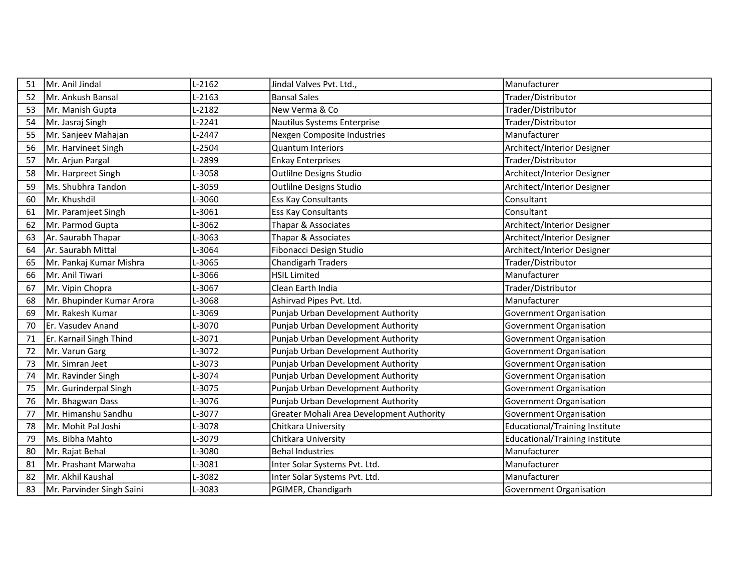| 51 | Mr. Anil Jindal           | $L-2162$ | Jindal Valves Pvt. Ltd.,                  | Manufacturer                          |
|----|---------------------------|----------|-------------------------------------------|---------------------------------------|
| 52 | lMr. Ankush Bansal        | $L-2163$ | <b>Bansal Sales</b>                       | Trader/Distributor                    |
| 53 | Mr. Manish Gupta          | $L-2182$ | New Verma & Co                            | Trader/Distributor                    |
| 54 | Mr. Jasraj Singh          | $L-2241$ | Nautilus Systems Enterprise               | Trader/Distributor                    |
| 55 | Mr. Sanjeev Mahajan       | L-2447   | Nexgen Composite Industries               | Manufacturer                          |
| 56 | Mr. Harvineet Singh       | L-2504   | <b>Quantum Interiors</b>                  | Architect/Interior Designer           |
| 57 | Mr. Arjun Pargal          | L-2899   | <b>Enkay Enterprises</b>                  | Trader/Distributor                    |
| 58 | Mr. Harpreet Singh        | L-3058   | Outlilne Designs Studio                   | Architect/Interior Designer           |
| 59 | Ms. Shubhra Tandon        | L-3059   | Outlilne Designs Studio                   | Architect/Interior Designer           |
| 60 | Mr. Khushdil              | L-3060   | Ess Kay Consultants                       | Consultant                            |
| 61 | Mr. Paramjeet Singh       | L-3061   | <b>Ess Kay Consultants</b>                | Consultant                            |
| 62 | Mr. Parmod Gupta          | L-3062   | Thapar & Associates                       | Architect/Interior Designer           |
| 63 | Ar. Saurabh Thapar        | L-3063   | Thapar & Associates                       | Architect/Interior Designer           |
| 64 | Ar. Saurabh Mittal        | L-3064   | Fibonacci Design Studio                   | Architect/Interior Designer           |
| 65 | Mr. Pankaj Kumar Mishra   | L-3065   | <b>Chandigarh Traders</b>                 | Trader/Distributor                    |
| 66 | Mr. Anil Tiwari           | L-3066   | <b>HSIL Limited</b>                       | Manufacturer                          |
| 67 | Mr. Vipin Chopra          | L-3067   | Clean Earth India                         | Trader/Distributor                    |
| 68 | Mr. Bhupinder Kumar Arora | L-3068   | Ashirvad Pipes Pvt. Ltd.                  | Manufacturer                          |
| 69 | lMr. Rakesh Kumar         | L-3069   | Punjab Urban Development Authority        | Government Organisation               |
| 70 | Er. Vasudev Anand         | L-3070   | Punjab Urban Development Authority        | <b>Government Organisation</b>        |
| 71 | Er. Karnail Singh Thind   | L-3071   | Punjab Urban Development Authority        | Government Organisation               |
| 72 | Mr. Varun Garg            | L-3072   | Punjab Urban Development Authority        | Government Organisation               |
| 73 | Mr. Simran Jeet           | L-3073   | Punjab Urban Development Authority        | Government Organisation               |
| 74 | Mr. Ravinder Singh        | L-3074   | Punjab Urban Development Authority        | Government Organisation               |
| 75 | Mr. Gurinderpal Singh     | L-3075   | Punjab Urban Development Authority        | Government Organisation               |
| 76 | Mr. Bhagwan Dass          | L-3076   | Punjab Urban Development Authority        | Government Organisation               |
| 77 | IMr. Himanshu Sandhu      | L-3077   | Greater Mohali Area Development Authority | Government Organisation               |
| 78 | Mr. Mohit Pal Joshi       | L-3078   | Chitkara University                       | <b>Educational/Training Institute</b> |
| 79 | Ms. Bibha Mahto           | L-3079   | Chitkara University                       | <b>Educational/Training Institute</b> |
| 80 | Mr. Rajat Behal           | L-3080   | <b>Behal Industries</b>                   | Manufacturer                          |
| 81 | lMr. Prashant Marwaha     | L-3081   | Inter Solar Systems Pvt. Ltd.             | Manufacturer                          |
| 82 | Mr. Akhil Kaushal         | L-3082   | Inter Solar Systems Pvt. Ltd.             | Manufacturer                          |
| 83 | Mr. Parvinder Singh Saini | L-3083   | PGIMER, Chandigarh                        | Government Organisation               |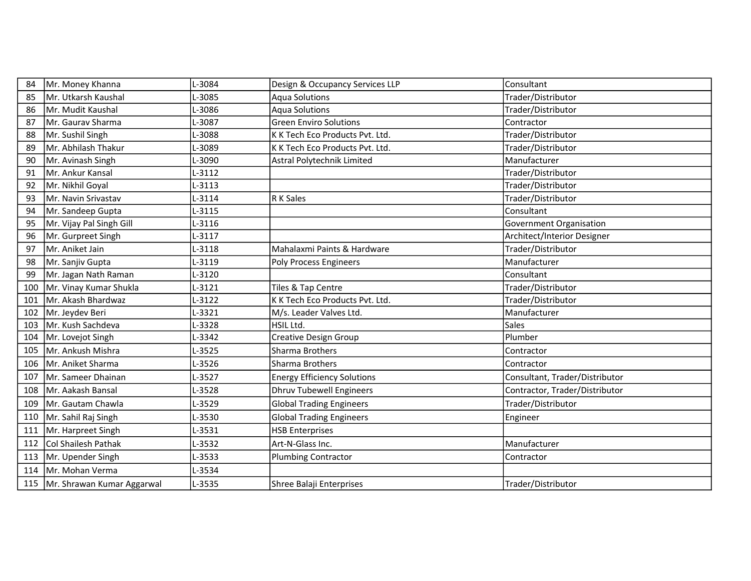| 84  | Mr. Money Khanna           | L-3084 | Design & Occupancy Services LLP    | Consultant                     |
|-----|----------------------------|--------|------------------------------------|--------------------------------|
| 85  | Mr. Utkarsh Kaushal        | L-3085 | <b>Aqua Solutions</b>              | Trader/Distributor             |
| 86  | Mr. Mudit Kaushal          | L-3086 | <b>Aqua Solutions</b>              | Trader/Distributor             |
| 87  | Mr. Gaurav Sharma          | L-3087 | <b>Green Enviro Solutions</b>      | Contractor                     |
| 88  | Mr. Sushil Singh           | L-3088 | K K Tech Eco Products Pvt. Ltd.    | Trader/Distributor             |
| 89  | Mr. Abhilash Thakur        | L-3089 | K K Tech Eco Products Pvt. Ltd.    | Trader/Distributor             |
| 90  | Mr. Avinash Singh          | L-3090 | Astral Polytechnik Limited         | Manufacturer                   |
| 91  | Mr. Ankur Kansal           | L-3112 |                                    | Trader/Distributor             |
| 92  | Mr. Nikhil Goyal           | L-3113 |                                    | Trader/Distributor             |
| 93  | Mr. Navin Srivastav        | L-3114 | R K Sales                          | Trader/Distributor             |
| 94  | Mr. Sandeep Gupta          | L-3115 |                                    | Consultant                     |
| 95  | Mr. Vijay Pal Singh Gill   | L-3116 |                                    | <b>Government Organisation</b> |
| 96  | Mr. Gurpreet Singh         | L-3117 |                                    | Architect/Interior Designer    |
| 97  | Mr. Aniket Jain            | L-3118 | Mahalaxmi Paints & Hardware        | Trader/Distributor             |
| 98  | Mr. Sanjiv Gupta           | L-3119 | <b>Poly Process Engineers</b>      | Manufacturer                   |
| 99  | Mr. Jagan Nath Raman       | L-3120 |                                    | Consultant                     |
| 100 | Mr. Vinay Kumar Shukla     | L-3121 | Tiles & Tap Centre                 | Trader/Distributor             |
| 101 | Mr. Akash Bhardwaz         | L-3122 | K K Tech Eco Products Pvt. Ltd.    | Trader/Distributor             |
| 102 | Mr. Jeydev Beri            | L-3321 | M/s. Leader Valves Ltd.            | Manufacturer                   |
| 103 | Mr. Kush Sachdeva          | L-3328 | HSIL Ltd.                          | Sales                          |
| 104 | Mr. Lovejot Singh          | L-3342 | Creative Design Group              | Plumber                        |
| 105 | Mr. Ankush Mishra          | L-3525 | Sharma Brothers                    | Contractor                     |
| 106 | Mr. Aniket Sharma          | L-3526 | Sharma Brothers                    | Contractor                     |
| 107 | Mr. Sameer Dhainan         | L-3527 | <b>Energy Efficiency Solutions</b> | Consultant, Trader/Distributor |
| 108 | Mr. Aakash Bansal          | L-3528 | <b>Dhruv Tubewell Engineers</b>    | Contractor, Trader/Distributor |
| 109 | Mr. Gautam Chawla          | L-3529 | <b>Global Trading Engineers</b>    | Trader/Distributor             |
| 110 | Mr. Sahil Raj Singh        | L-3530 | <b>Global Trading Engineers</b>    | Engineer                       |
| 111 | Mr. Harpreet Singh         | L-3531 | <b>HSB Enterprises</b>             |                                |
| 112 | Col Shailesh Pathak        | L-3532 | Art-N-Glass Inc.                   | Manufacturer                   |
| 113 | Mr. Upender Singh          | L-3533 | <b>Plumbing Contractor</b>         | Contractor                     |
| 114 | Mr. Mohan Verma            | L-3534 |                                    |                                |
| 115 | Mr. Shrawan Kumar Aggarwal | L-3535 | Shree Balaji Enterprises           | Trader/Distributor             |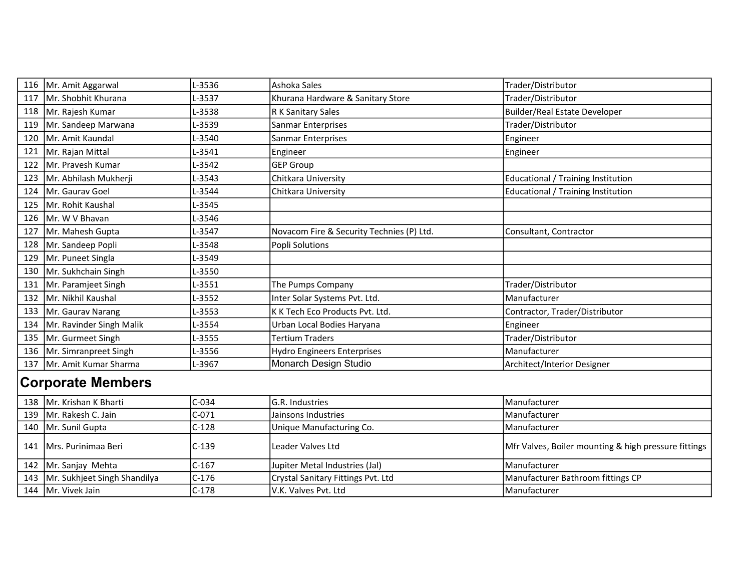| 116                      | Mr. Amit Aggarwal            | L-3536  | Ashoka Sales                              | Trader/Distributor                                   |  |
|--------------------------|------------------------------|---------|-------------------------------------------|------------------------------------------------------|--|
| 117                      | Mr. Shobhit Khurana          | L-3537  | Khurana Hardware & Sanitary Store         | Trader/Distributor                                   |  |
| 118                      | Mr. Rajesh Kumar             | L-3538  | R K Sanitary Sales                        | <b>Builder/Real Estate Developer</b>                 |  |
| 119                      | Mr. Sandeep Marwana          | L-3539  | Sanmar Enterprises                        | Trader/Distributor                                   |  |
| 120                      | Mr. Amit Kaundal             | L-3540  | Sanmar Enterprises                        | Engineer                                             |  |
| 121                      | Mr. Rajan Mittal             | L-3541  | Engineer                                  | Engineer                                             |  |
| 122                      | Mr. Pravesh Kumar            | L-3542  | <b>GEP Group</b>                          |                                                      |  |
| 123                      | Mr. Abhilash Mukherji        | L-3543  | Chitkara University                       | Educational / Training Institution                   |  |
| 124                      | Mr. Gauray Goel              | L-3544  | Chitkara University                       | <b>Educational / Training Institution</b>            |  |
| 125                      | Mr. Rohit Kaushal            | L-3545  |                                           |                                                      |  |
| 126                      | Mr. W V Bhavan               | L-3546  |                                           |                                                      |  |
| 127                      | Mr. Mahesh Gupta             | L-3547  | Novacom Fire & Security Technies (P) Ltd. | Consultant, Contractor                               |  |
| 128                      | Mr. Sandeep Popli            | L-3548  | Popli Solutions                           |                                                      |  |
| 129                      | Mr. Puneet Singla            | L-3549  |                                           |                                                      |  |
| 130                      | Mr. Sukhchain Singh          | L-3550  |                                           |                                                      |  |
| 131                      | Mr. Paramjeet Singh          | L-3551  | The Pumps Company                         | Trader/Distributor                                   |  |
| 132                      | Mr. Nikhil Kaushal           | L-3552  | Inter Solar Systems Pvt. Ltd.             | Manufacturer                                         |  |
| 133                      | Mr. Gaurav Narang            | L-3553  | K K Tech Eco Products Pvt. Ltd.           | Contractor, Trader/Distributor                       |  |
| 134                      | Mr. Ravinder Singh Malik     | L-3554  | Urban Local Bodies Haryana                | Engineer                                             |  |
| 135                      | Mr. Gurmeet Singh            | L-3555  | Tertium Traders                           | Trader/Distributor                                   |  |
| 136                      | Mr. Simranpreet Singh        | L-3556  | <b>Hydro Engineers Enterprises</b>        | Manufacturer                                         |  |
| 137                      | Mr. Amit Kumar Sharma        | L-3967  | Monarch Design Studio                     | Architect/Interior Designer                          |  |
| <b>Corporate Members</b> |                              |         |                                           |                                                      |  |
| 138                      | Mr. Krishan K Bharti         | $C-034$ | G.R. Industries                           | Manufacturer                                         |  |
| 139                      | Mr. Rakesh C. Jain           | $C-071$ | Jainsons Industries                       | Manufacturer                                         |  |
| 140                      | Mr. Sunil Gupta              | $C-128$ | Unique Manufacturing Co.                  | Manufacturer                                         |  |
| 141                      | Mrs. Purinimaa Beri          | $C-139$ | Leader Valves Ltd                         | Mfr Valves, Boiler mounting & high pressure fittings |  |
| 142                      | Mr. Sanjay Mehta             | $C-167$ | Jupiter Metal Industries (Jal)            | Manufacturer                                         |  |
| 143                      | Mr. Sukhjeet Singh Shandilya | $C-176$ | Crystal Sanitary Fittings Pvt. Ltd        | Manufacturer Bathroom fittings CP                    |  |
| 144                      | Mr. Vivek Jain               | $C-178$ | V.K. Valves Pvt. Ltd                      | Manufacturer                                         |  |